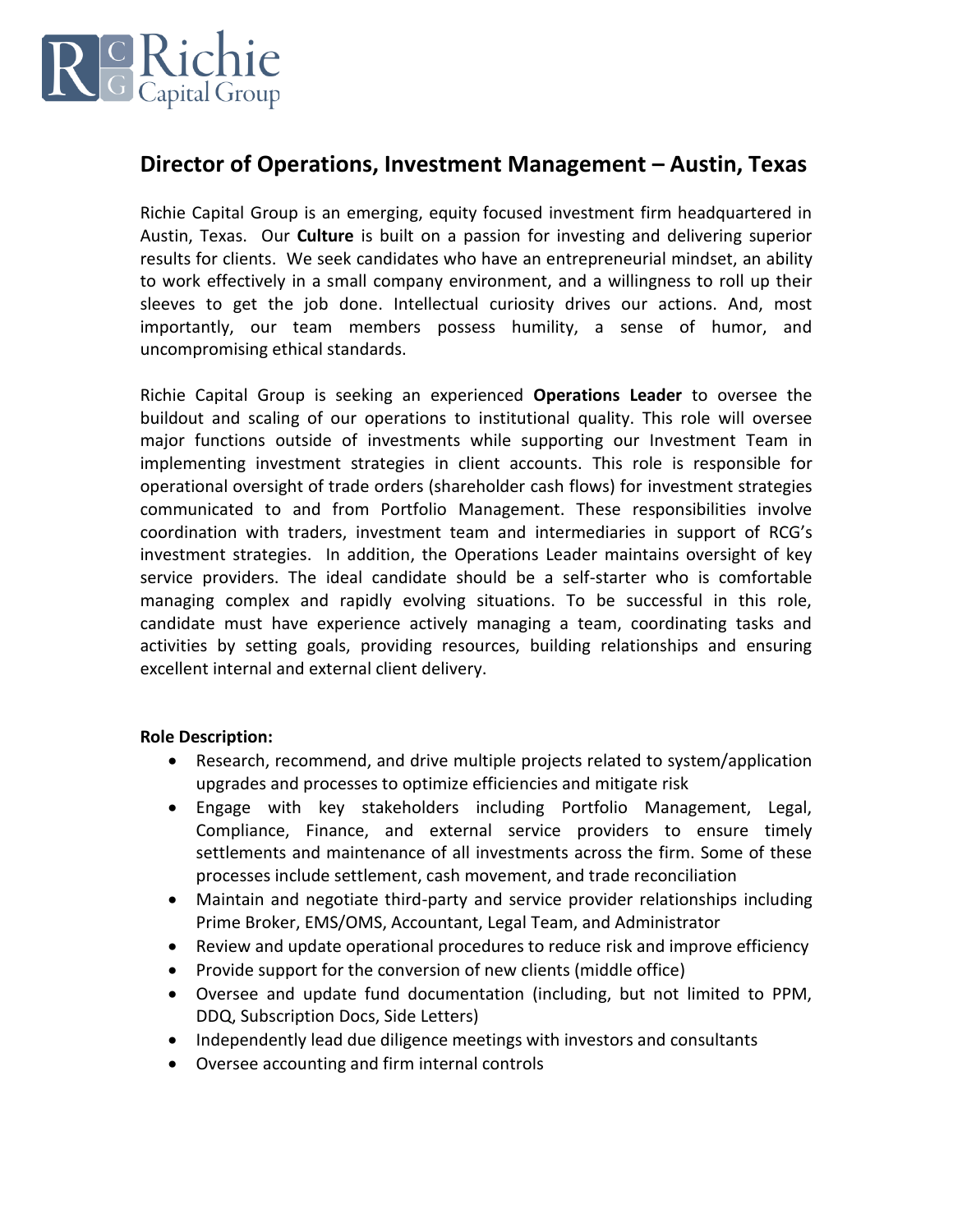

## **Director of Operations, Investment Management – Austin, Texas**

Richie Capital Group is an emerging, equity focused investment firm headquartered in Austin, Texas. Our **Culture** is built on a passion for investing and delivering superior results for clients. We seek candidates who have an entrepreneurial mindset, an ability to work effectively in a small company environment, and a willingness to roll up their sleeves to get the job done. Intellectual curiosity drives our actions. And, most importantly, our team members possess humility, a sense of humor, and uncompromising ethical standards.

Richie Capital Group is seeking an experienced **Operations Leader** to oversee the buildout and scaling of our operations to institutional quality. This role will oversee major functions outside of investments while supporting our Investment Team in implementing investment strategies in client accounts. This role is responsible for operational oversight of trade orders (shareholder cash flows) for investment strategies communicated to and from Portfolio Management. These responsibilities involve coordination with traders, investment team and intermediaries in support of RCG's investment strategies. In addition, the Operations Leader maintains oversight of key service providers. The ideal candidate should be a self-starter who is comfortable managing complex and rapidly evolving situations. To be successful in this role, candidate must have experience actively managing a team, coordinating tasks and activities by setting goals, providing resources, building relationships and ensuring excellent internal and external client delivery.

## **Role Description:**

- Research, recommend, and drive multiple projects related to system/application upgrades and processes to optimize efficiencies and mitigate risk
- Engage with key stakeholders including Portfolio Management, Legal, Compliance, Finance, and external service providers to ensure timely settlements and maintenance of all investments across the firm. Some of these processes include settlement, cash movement, and trade reconciliation
- Maintain and negotiate third-party and service provider relationships including Prime Broker, EMS/OMS, Accountant, Legal Team, and Administrator
- Review and update operational procedures to reduce risk and improve efficiency
- Provide support for the conversion of new clients (middle office)
- Oversee and update fund documentation (including, but not limited to PPM, DDQ, Subscription Docs, Side Letters)
- Independently lead due diligence meetings with investors and consultants
- Oversee accounting and firm internal controls